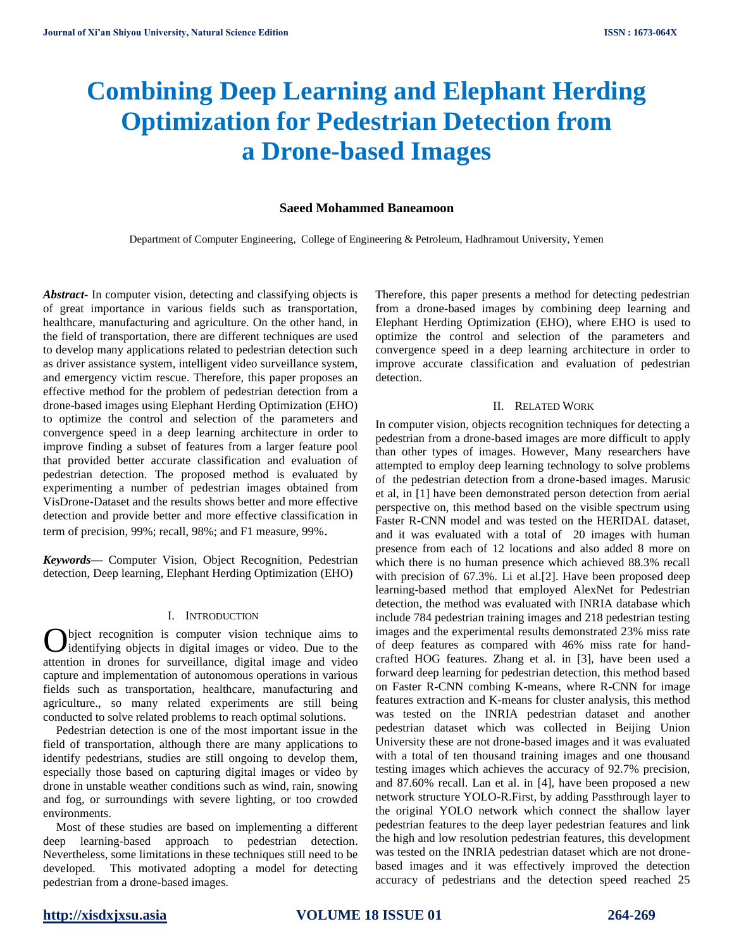# **Combining Deep Learning and Elephant Herding Optimization for Pedestrian Detection from a Drone-based Images**

### **Saeed Mohammed Baneamoon**

Department of Computer Engineering, College of Engineering & Petroleum, Hadhramout University, Yemen

*Abstract***-** In computer vision, detecting and classifying objects is of great importance in various fields such as transportation, healthcare, manufacturing and agriculture. On the other hand, in the field of transportation, there are different techniques are used to develop many applications related to pedestrian detection such as driver assistance system, intelligent video surveillance system, and emergency victim rescue. Therefore, this paper proposes an effective method for the problem of pedestrian detection from a drone-based images using Elephant Herding Optimization (EHO) to optimize the control and selection of the parameters and convergence speed in a deep learning architecture in order to improve finding a subset of features from a larger feature pool that provided better accurate classification and evaluation of pedestrian detection. The proposed method is evaluated by experimenting a number of pedestrian images obtained from VisDrone-Dataset and the results shows better and more effective detection and provide better and more effective classification in term of precision, 99%; recall, 98%; and F1 measure, 99%.

*Keywords—* Computer Vision, Object Recognition, Pedestrian detection, Deep learning, Elephant Herding Optimization (EHO)

### I. INTRODUCTION

bject recognition is computer vision technique aims to **O** bject recognition is computer vision technique aims to identifying objects in digital images or video. Due to the attention in drones for surveillance, digital image and video capture and implementation of autonomous operations in various fields such as transportation, healthcare, manufacturing and agriculture., so many related experiments are still being conducted to solve related problems to reach optimal solutions.

Pedestrian detection is one of the most important issue in the field of transportation, although there are many applications to identify pedestrians, studies are still ongoing to develop them, especially those based on capturing digital images or video by drone in unstable weather conditions such as wind, rain, snowing and fog, or surroundings with severe lighting, or too crowded environments.

Most of these studies are based on implementing a different deep learning-based approach to pedestrian detection. Nevertheless, some limitations in these techniques still need to be developed. This motivated adopting a model for detecting pedestrian from a drone-based images.

Therefore, this paper presents a method for detecting pedestrian from a drone-based images by combining deep learning and Elephant Herding Optimization (EHO), where EHO is used to optimize the control and selection of the parameters and convergence speed in a deep learning architecture in order to improve accurate classification and evaluation of pedestrian detection.

### II. RELATED WORK

In computer vision, objects recognition techniques for detecting a pedestrian from a drone-based images are more difficult to apply than other types of images. However, Many researchers have attempted to employ deep learning technology to solve problems of the pedestrian detection from a drone-based images. Marusic et al, in [1] have been demonstrated person detection from aerial perspective on, this method based on the visible spectrum using Faster R-CNN model and was tested on the HERIDAL dataset, and it was evaluated with a total of 20 images with human presence from each of 12 locations and also added 8 more on which there is no human presence which achieved 88.3% recall with precision of 67.3%. Li et al.[2]. Have been proposed deep learning-based method that employed AlexNet for Pedestrian detection, the method was evaluated with INRIA database which include 784 pedestrian training images and 218 pedestrian testing images and the experimental results demonstrated 23% miss rate of deep features as compared with 46% miss rate for handcrafted HOG features. Zhang et al. in [3], have been used a forward deep learning for pedestrian detection, this method based on Faster R-CNN combing K-means, where R-CNN for image features extraction and K-means for cluster analysis, this method was tested on the INRIA pedestrian dataset and another pedestrian dataset which was collected in Beijing Union University these are not drone-based images and it was evaluated with a total of ten thousand training images and one thousand testing images which achieves the accuracy of 92.7% precision, and 87.60% recall. Lan et al. in [4], have been proposed a new network structure YOLO-R.First, by adding Passthrough layer to the original YOLO network which connect the shallow layer pedestrian features to the deep layer pedestrian features and link the high and low resolution pedestrian features, this development was tested on the INRIA pedestrian dataset which are not dronebased images and it was effectively improved the detection accuracy of pedestrians and the detection speed reached 25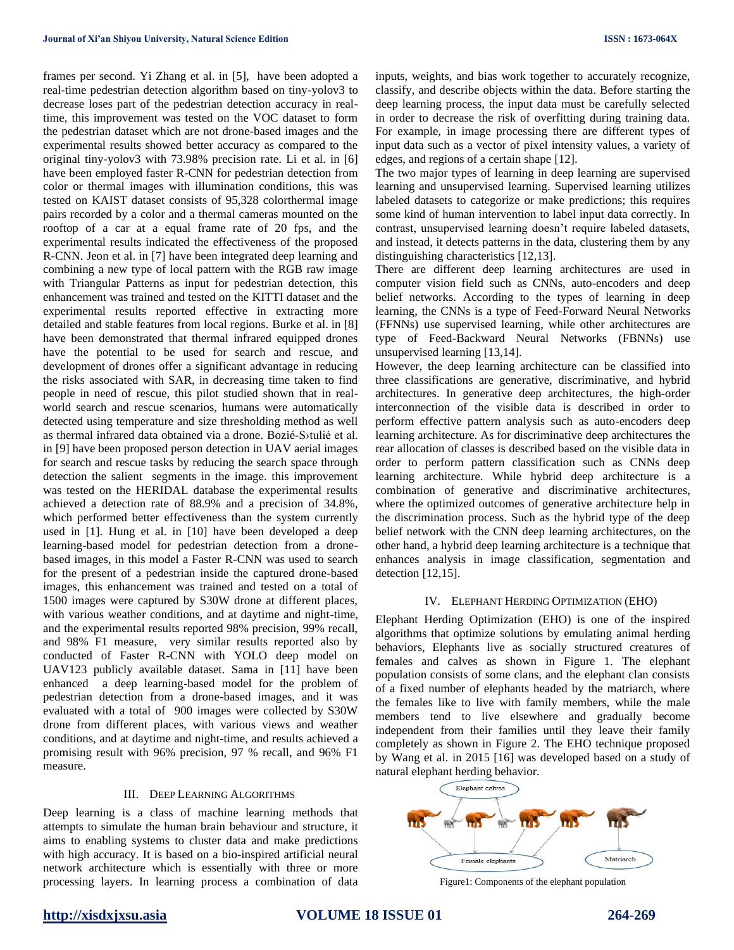frames per second. Yi Zhang et al. in [5], have been adopted a real-time pedestrian detection algorithm based on tiny-yolov3 to decrease loses part of the pedestrian detection accuracy in realtime, this improvement was tested on the VOC dataset to form the pedestrian dataset which are not drone-based images and the experimental results showed better accuracy as compared to the original tiny-yolov3 with 73.98% precision rate. Li et al. in [6] have been employed faster R-CNN for pedestrian detection from color or thermal images with illumination conditions, this was tested on KAIST dataset consists of 95,328 colorthermal image pairs recorded by a color and a thermal cameras mounted on the rooftop of a car at a equal frame rate of 20 fps, and the experimental results indicated the effectiveness of the proposed R-CNN. Jeon et al. in [7] have been integrated deep learning and combining a new type of local pattern with the RGB raw image with Triangular Patterns as input for pedestrian detection, this enhancement was trained and tested on the KITTI dataset and the experimental results reported effective in extracting more detailed and stable features from local regions. Burke et al. in [8] have been demonstrated that thermal infrared equipped drones have the potential to be used for search and rescue, and development of drones offer a significant advantage in reducing the risks associated with SAR, in decreasing time taken to find people in need of rescue, this pilot studied shown that in realworld search and rescue scenarios, humans were automatically detected using temperature and size thresholding method as well as thermal infrared data obtained via a drone. Bozié-S›tulié et al. in [9] have been proposed person detection in UAV aerial images for search and rescue tasks by reducing the search space through detection the salient segments in the image. this improvement was tested on the HERIDAL database the experimental results achieved a detection rate of 88.9% and a precision of 34.8%, which performed better effectiveness than the system currently used in [1]. Hung et al. in [10] have been developed a deep learning-based model for pedestrian detection from a dronebased images, in this model a Faster R-CNN was used to search for the present of a pedestrian inside the captured drone-based images, this enhancement was trained and tested on a total of 1500 images were captured by S30W drone at different places, with various weather conditions, and at daytime and night-time, and the experimental results reported 98% precision, 99% recall, and 98% F1 measure, very similar results reported also by conducted of Faster R-CNN with YOLO deep model on UAV123 publicly available dataset. Sama in [11] have been enhanced a deep learning-based model for the problem of pedestrian detection from a drone-based images, and it was evaluated with a total of 900 images were collected by S30W drone from different places, with various views and weather conditions, and at daytime and night-time, and results achieved a promising result with 96% precision, 97 % recall, and 96% F1 measure.

#### III. DEEP LEARNING ALGORITHMS

Deep learning is a class of machine learning methods that attempts to simulate the human brain behaviour and structure, it aims to enabling systems to cluster data and make predictions with high accuracy. It is based on a bio-inspired artificial neural network architecture which is essentially with three or more processing layers. In learning process a combination of data inputs, weights, and bias work together to accurately recognize, classify, and describe objects within the data. Before starting the deep learning process, the input data must be carefully selected in order to decrease the risk of overfitting during training data. For example, in image processing there are different types of input data such as a vector of pixel intensity values, a variety of edges, and regions of a certain shape [12].

The two major types of learning in deep learning are supervised learning and unsupervised learning. Supervised learning utilizes labeled datasets to categorize or make predictions; this requires some kind of human intervention to label input data correctly. In contrast, unsupervised learning doesn't require labeled datasets, and instead, it detects patterns in the data, clustering them by any distinguishing characteristics [12,13].

There are different deep learning architectures are used in computer vision field such as CNNs, auto-encoders and deep belief networks. According to the types of learning in deep learning, the CNNs is a type of Feed-Forward Neural Networks (FFNNs) use supervised learning, while other architectures are type of Feed-Backward Neural Networks (FBNNs) use unsupervised learning [13,14].

However, the deep learning architecture can be classified into three classifications are generative, discriminative, and hybrid architectures. In generative deep architectures, the high-order interconnection of the visible data is described in order to perform effective pattern analysis such as auto-encoders deep learning architecture. As for discriminative deep architectures the rear allocation of classes is described based on the visible data in order to perform pattern classification such as CNNs deep learning architecture. While hybrid deep architecture is a combination of generative and discriminative architectures, where the optimized outcomes of generative architecture help in the discrimination process. Such as the hybrid type of the deep belief network with the CNN deep learning architectures, on the other hand, a hybrid deep learning architecture is a technique that enhances analysis in image classification, segmentation and detection [12,15].

### IV. ELEPHANT HERDING OPTIMIZATION (EHO)

Elephant Herding Optimization (EHO) is one of the inspired algorithms that optimize solutions by emulating animal herding behaviors, Elephants live as socially structured creatures of females and calves as shown in Figure 1. The elephant population consists of some clans, and the elephant clan consists of a fixed number of elephants headed by the matriarch, where the females like to live with family members, while the male members tend to live elsewhere and gradually become independent from their families until they leave their family completely as shown in Figure 2. The EHO technique proposed by Wang et al. in 2015 [16] was developed based on a study of natural elephant herding behavior.



Figure1: Components of the elephant population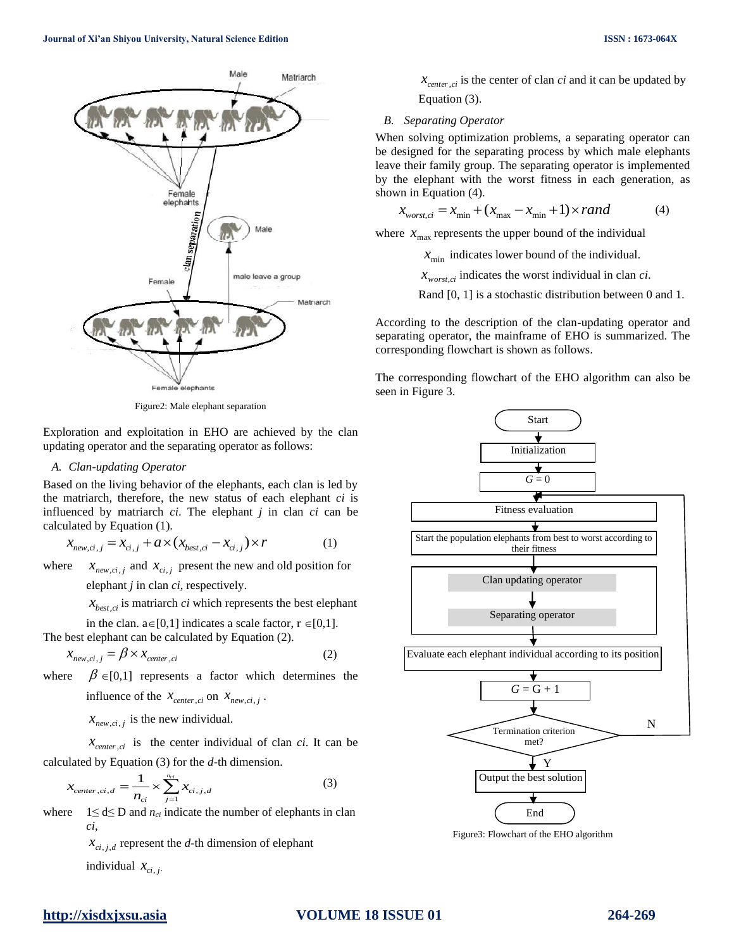

Figure2: Male elephant separation

Exploration and exploitation in EHO are achieved by the clan updating operator and the separating operator as follows:

#### *A. Clan-updating Operator*

Based on the living behavior of the elephants, each clan is led by the matriarch, therefore, the new status of each elephant *ci* is influenced by matriarch *ci*. The elephant *j* in clan *ci* can be calculated by Equation (1).

$$
x_{new, ci,j} = x_{ci,j} + a \times (x_{best, ci} - x_{ci,j}) \times r \tag{1}
$$

where  $x_{new, ci, j}$  and  $x_{ci, j}$  present the new and old position for

elephant *j* in clan *ci*, respectively.

 $x_{best, ci}$  is matriarch *ci* which represents the best elephant

in the clan.  $a \in [0,1]$  indicates a scale factor,  $r \in [0,1]$ . The best elephant can be calculated by Equation (2).

$$
x_{new, ci, j} = \beta \times x_{center, ci}
$$
 (2)

where  $\beta \in [0,1]$  represents a factor which determines the

influence of the  $x_{center,ci}$  on  $x_{new,ci, j}$ .

 $x_{new, ci, j}$  is the new individual.

 $x_{center, ci}$  is the center individual of clan *ci*. It can be calculated by Equation (3) for the *d*-th dimension.

$$
x_{center, ci,d} = \frac{1}{n_{ci}} \times \sum_{j=1}^{n_{ci}} x_{ci,j,d}
$$
 (3)

where  $1 \leq d \leq D$  and  $n_{ci}$  indicate the number of elephants in clan *ci*,

> $x_{ci,j,d}$  represent the *d*-th dimension of elephant individual  $x_{ci,j}$ .

## $x_{center, ci}$  is the center of clan *ci* and it can be updated by Equation (3).

#### *B. Separating Operator*

When solving optimization problems, a separating operator can be designed for the separating process by which male elephants leave their family group. The separating operator is implemented by the elephant with the worst fitness in each generation, as shown in Equation (4).

$$
x_{worst,ci} = x_{\min} + (x_{\max} - x_{\min} + 1) \times rand \tag{4}
$$

where  $x_{\text{max}}$  represents the upper bound of the individual

 $x_{\text{min}}$  indicates lower bound of the individual.

 $x_{worst, ci}$  indicates the worst individual in clan *ci*.

Rand [0, 1] is a stochastic distribution between 0 and 1.

According to the description of the clan-updating operator and separating operator, the mainframe of EHO is summarized. The corresponding flowchart is shown as follows.

The corresponding flowchart of the EHO algorithm can also be seen in Figure 3.



Figure3: Flowchart of the EHO algorithm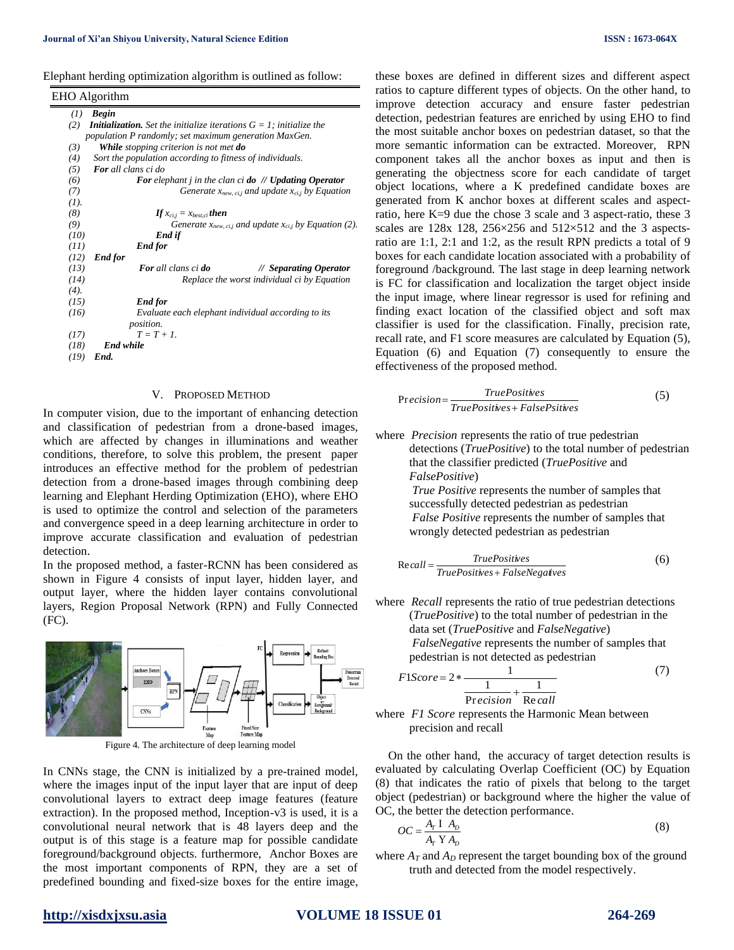Elephant herding optimization algorithm is outlined as follow:

|      | EHO Algorithm                                                                 |
|------|-------------------------------------------------------------------------------|
| (1)  | <b>Begin</b>                                                                  |
| (2)  | <b>Initialization.</b> Set the initialize iterations $G = 1$ ; initialize the |
|      | population P randomly; set maximum generation MaxGen.                         |
| (3)  | While stopping criterion is not met do                                        |
| (4)  | Sort the population according to fitness of individuals.                      |
| (5)  | <b>For</b> all clans ci do                                                    |
| (6)  | For elephant <i>j</i> in the clan ci <b>do</b> $\#$ <b>Updating Operator</b>  |
| (7)  | Generate $x_{new, c,i}$ and update $x_{c,i}$ by Equation                      |
| (I). |                                                                               |
| (8)  | If $x_{ci,i} = x_{best,ci}$ then                                              |
| (9)  | Generate $x_{new, ci,j}$ and update $x_{ci,j}$ by Equation (2).               |
| (10) | End if                                                                        |
| (11) | <b>End for</b>                                                                |
| (12) | End for                                                                       |
| (13) | <b>For</b> all clans ci <b>do</b><br>// Separating Operator                   |
| (14) | Replace the worst individual ci by Equation                                   |
| (4). |                                                                               |
| (15) | <b>End for</b>                                                                |
| (16) | Evaluate each elephant individual according to its                            |
|      | position.                                                                     |
| (17) | $T = T + I$                                                                   |
| (18) | <b>End while</b>                                                              |
| (19) | End.                                                                          |
|      |                                                                               |

#### V. PROPOSED METHOD

In computer vision, due to the important of enhancing detection and classification of pedestrian from a drone-based images, which are affected by changes in illuminations and weather conditions, therefore, to solve this problem, the present paper introduces an effective method for the problem of pedestrian detection from a drone-based images through combining deep learning and Elephant Herding Optimization (EHO), where EHO is used to optimize the control and selection of the parameters and convergence speed in a deep learning architecture in order to improve accurate classification and evaluation of pedestrian detection.

In the proposed method, a faster-RCNN has been considered as shown in Figure 4 consists of input layer, hidden layer, and output layer, where the hidden layer contains convolutional layers, Region Proposal Network (RPN) and Fully Connected (FC).





In CNNs stage, the CNN is initialized by a pre-trained model, where the images input of the input layer that are input of deep convolutional layers to extract deep image features (feature extraction). In the proposed method, Inception-v3 is used, it is a convolutional neural network that is 48 layers deep and the output is of this stage is a feature map for possible candidate foreground/background objects. furthermore, Anchor Boxes are the most important components of RPN, they are a set of predefined bounding and fixed-size boxes for the entire image, these boxes are defined in different sizes and different aspect ratios to capture different types of objects. On the other hand, to improve detection accuracy and ensure faster pedestrian detection, pedestrian features are enriched by using EHO to find the most suitable anchor boxes on pedestrian dataset, so that the more semantic information can be extracted. Moreover, RPN component takes all the anchor boxes as input and then is generating the objectness score for each candidate of target object locations, where a K predefined candidate boxes are generated from K anchor boxes at different scales and aspectratio, here K=9 due the chose 3 scale and 3 aspect-ratio, these 3 scales are  $128x$  128,  $256\times256$  and  $512\times512$  and the 3 aspectsratio are 1:1, 2:1 and 1:2, as the result RPN predicts a total of 9 boxes for each candidate location associated with a probability of foreground /background. The last stage in deep learning network is FC for classification and localization the target object inside the input image, where linear regressor is used for refining and finding exact location of the classified object and soft max classifier is used for the classification. Finally, precision rate, recall rate, and F1 score measures are calculated by Equation (5), Equation (6) and Equation (7) consequently to ensure the effectiveness of the proposed method.

$$
Precision = \frac{TruePosities}{TruePosities + FalsePsities}
$$
 (5)

where *Precision* represents the ratio of true pedestrian detections (*TruePositive*) to the total number of pedestrian that the classifier predicted (*TruePositive* and *FalsePositive*)

> *True Positive* represents the number of samples that successfully detected pedestrian as pedestrian *False Positive* represents the number of samples that wrongly detected pedestrian as pedestrian

$$
Recall = \frac{True Positives}{True Positives + False Negatives}
$$
 (6)

where *Recall* represents the ratio of true pedestrian detections (*TruePositive*) to the total number of pedestrian in the data set (*TruePositive* and *FalseNegative*) *FalseNegative* represents the number of samples that pedestrian is not detected as pedestrian

$$
F1Score = 2 * \frac{1}{\frac{1}{\text{Precision}} + \frac{1}{\text{Recall}}}
$$
(7)

where *F1 Score* represents the Harmonic Mean between precision and recall

On the other hand, the accuracy of target detection results is evaluated by calculating Overlap Coefficient (OC) by Equation (8) that indicates the ratio of pixels that belong to the target object (pedestrian) or background where the higher the value of OC, the better the detection performance.

$$
OC = \frac{A_T I A_D}{A_T Y A_D} \tag{8}
$$

where  $A_T$  and  $A_D$  represent the target bounding box of the ground truth and detected from the model respectively.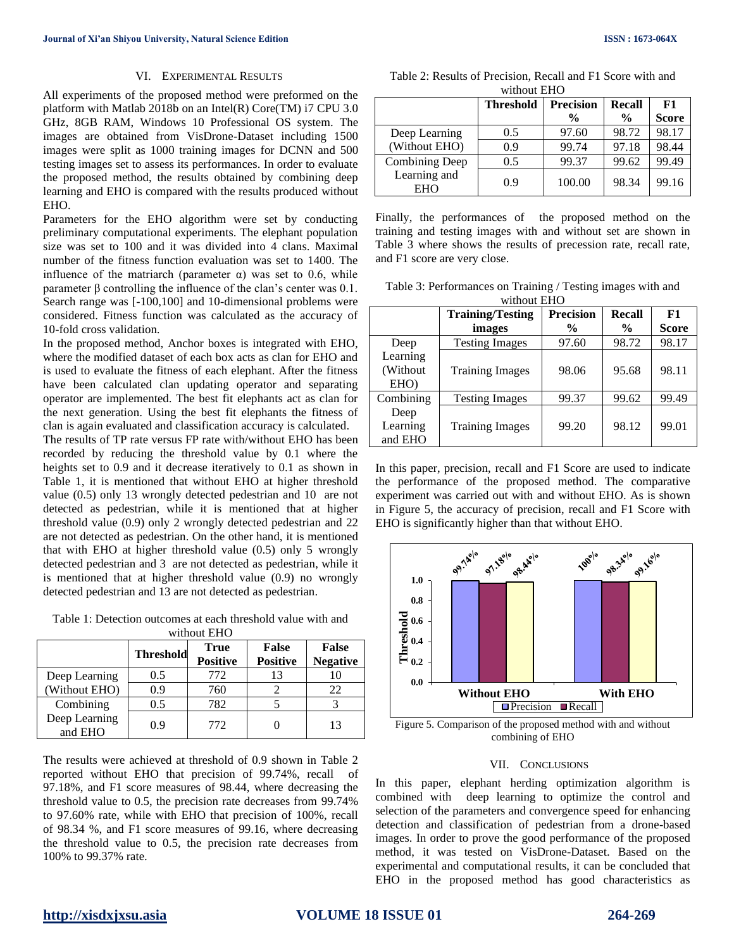#### VI. EXPERIMENTAL RESULTS

All experiments of the proposed method were preformed on the platform with Matlab 2018b on an Intel(R) Core(TM) i7 CPU 3.0 GHz, 8GB RAM, Windows 10 Professional OS system. The images are obtained from VisDrone-Dataset including 1500 images were split as 1000 training images for DCNN and 500 testing images set to assess its performances. In order to evaluate the proposed method, the results obtained by combining deep learning and EHO is compared with the results produced without EHO.

Parameters for the EHO algorithm were set by conducting preliminary computational experiments. The elephant population size was set to 100 and it was divided into 4 clans. Maximal number of the fitness function evaluation was set to 1400. The influence of the matriarch (parameter  $\alpha$ ) was set to 0.6, while parameter β controlling the influence of the clan's center was 0.1. Search range was [-100,100] and 10-dimensional problems were considered. Fitness function was calculated as the accuracy of 10-fold cross validation.

In the proposed method, Anchor boxes is integrated with EHO, where the modified dataset of each box acts as clan for EHO and is used to evaluate the fitness of each elephant. After the fitness have been calculated clan updating operator and separating operator are implemented. The best fit elephants act as clan for the next generation. Using the best fit elephants the fitness of clan is again evaluated and classification accuracy is calculated.

The results of TP rate versus FP rate with/without EHO has been recorded by reducing the threshold value by 0.1 where the heights set to 0.9 and it decrease iteratively to 0.1 as shown in Table 1, it is mentioned that without EHO at higher threshold value (0.5) only 13 wrongly detected pedestrian and 10 are not detected as pedestrian, while it is mentioned that at higher threshold value (0.9) only 2 wrongly detected pedestrian and 22 are not detected as pedestrian. On the other hand, it is mentioned that with EHO at higher threshold value (0.5) only 5 wrongly detected pedestrian and 3 are not detected as pedestrian, while it is mentioned that at higher threshold value (0.9) no wrongly detected pedestrian and 13 are not detected as pedestrian.

Table 1: Detection outcomes at each threshold value with and without EHO

| whipped Lite             |                  |                                |                                 |                                 |  |  |
|--------------------------|------------------|--------------------------------|---------------------------------|---------------------------------|--|--|
|                          | <b>Threshold</b> | <b>True</b><br><b>Positive</b> | <b>False</b><br><b>Positive</b> | <b>False</b><br><b>Negative</b> |  |  |
| Deep Learning            | 0.5              | 772                            | 13                              | 10                              |  |  |
| (Without EHO)            | 0.9              | 760                            |                                 | 22                              |  |  |
| Combining                | 0.5              | 782                            |                                 |                                 |  |  |
| Deep Learning<br>and EHO | 09               | 772                            |                                 | 13                              |  |  |

The results were achieved at threshold of 0.9 shown in Table 2 reported without EHO that precision of 99.74%, recall of 97.18%, and F1 score measures of 98.44, where decreasing the threshold value to 0.5, the precision rate decreases from 99.74% to 97.60% rate, while with EHO that precision of 100%, recall of 98.34 %, and F1 score measures of 99.16, where decreasing the threshold value to 0.5, the precision rate decreases from 100% to 99.37% rate.

| Table 2: Results of Precision, Recall and F1 Score with and |  |  |  |  |  |  |
|-------------------------------------------------------------|--|--|--|--|--|--|
| without EHO                                                 |  |  |  |  |  |  |

|                       | <b>Threshold</b> | <b>Precision</b> | Recall | F1           |
|-----------------------|------------------|------------------|--------|--------------|
|                       |                  | $\frac{6}{9}$    | $\%$   | <b>Score</b> |
| Deep Learning         | 0.5              | 97.60            | 98.72  | 98.17        |
| (Without EHO)         | 0.9              | 99.74            | 97.18  | 98.44        |
| <b>Combining Deep</b> | 0.5              | 99.37            | 99.62  | 99.49        |
| Learning and<br>EHO   | 0.9              | 100.00           | 98.34  | 99.16        |

Finally, the performances of the proposed method on the training and testing images with and without set are shown in Table 3 where shows the results of precession rate, recall rate, and F1 score are very close.

Table 3: Performances on Training / Testing images with and without EHO

|                               | <b>Training/Testing</b> | <b>Precision</b> | <b>Recall</b> | F1           |
|-------------------------------|-------------------------|------------------|---------------|--------------|
|                               | images                  | $\frac{0}{0}$    | $\frac{0}{0}$ | <b>Score</b> |
| Deep                          | <b>Testing Images</b>   | 97.60            | 98.72         | 98.17        |
| Learning<br>(Without)<br>EHO) | <b>Training Images</b>  | 98.06            | 95.68         | 98.11        |
| Combining                     | <b>Testing Images</b>   | 99.37            | 99.62         | 99.49        |
| Deep<br>Learning<br>and EHO   | <b>Training Images</b>  | 99.20            | 98.12         | 99.01        |

In this paper, precision, recall and F1 Score are used to indicate the performance of the proposed method. The comparative experiment was carried out with and without EHO. As is shown in Figure 5, the accuracy of precision, recall and F1 Score with EHO is significantly higher than that without EHO.



Figure 5. Comparison of the proposed method with and without combining of EHO

### VII. CONCLUSIONS

In this paper, elephant herding optimization algorithm is combined with deep learning to optimize the control and selection of the parameters and convergence speed for enhancing detection and classification of pedestrian from a drone-based images. In order to prove the good performance of the proposed method, it was tested on VisDrone-Dataset. Based on the experimental and computational results, it can be concluded that EHO in the proposed method has good characteristics as